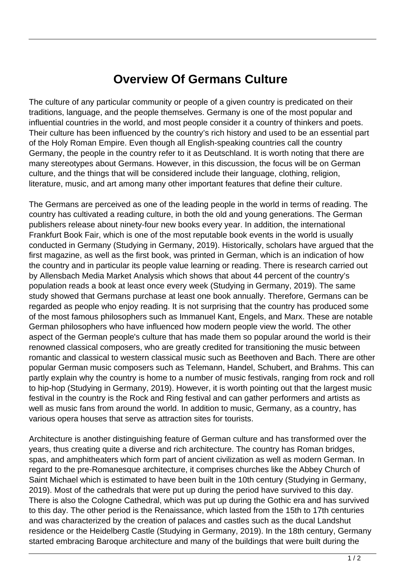## **Overview Of Germans Culture**

The culture of any particular community or people of a given country is predicated on their traditions, language, and the people themselves. Germany is one of the most popular and influential countries in the world, and most people consider it a country of thinkers and poets. Their culture has been influenced by the country's rich history and used to be an essential part of the Holy Roman Empire. Even though all English-speaking countries call the country Germany, the people in the country refer to it as Deutschland. It is worth noting that there are many stereotypes about Germans. However, in this discussion, the focus will be on German culture, and the things that will be considered include their language, clothing, religion, literature, music, and art among many other important features that define their culture.

The Germans are perceived as one of the leading people in the world in terms of reading. The country has cultivated a reading culture, in both the old and young generations. The German publishers release about ninety-four new books every year. In addition, the international Frankfurt Book Fair, which is one of the most reputable book events in the world is usually conducted in Germany (Studying in Germany, 2019). Historically, scholars have argued that the first magazine, as well as the first book, was printed in German, which is an indication of how the country and in particular its people value learning or reading. There is research carried out by Allensbach Media Market Analysis which shows that about 44 percent of the country's population reads a book at least once every week (Studying in Germany, 2019). The same study showed that Germans purchase at least one book annually. Therefore, Germans can be regarded as people who enjoy reading. It is not surprising that the country has produced some of the most famous philosophers such as Immanuel Kant, Engels, and Marx. These are notable German philosophers who have influenced how modern people view the world. The other aspect of the German people's culture that has made them so popular around the world is their renowned classical composers, who are greatly credited for transitioning the music between romantic and classical to western classical music such as Beethoven and Bach. There are other popular German music composers such as Telemann, Handel, Schubert, and Brahms. This can partly explain why the country is home to a number of music festivals, ranging from rock and roll to hip-hop (Studying in Germany, 2019). However, it is worth pointing out that the largest music festival in the country is the Rock and Ring festival and can gather performers and artists as well as music fans from around the world. In addition to music, Germany, as a country, has various opera houses that serve as attraction sites for tourists.

Architecture is another distinguishing feature of German culture and has transformed over the years, thus creating quite a diverse and rich architecture. The country has Roman bridges, spas, and amphitheaters which form part of ancient civilization as well as modern German. In regard to the pre-Romanesque architecture, it comprises churches like the Abbey Church of Saint Michael which is estimated to have been built in the 10th century (Studying in Germany, 2019). Most of the cathedrals that were put up during the period have survived to this day. There is also the Cologne Cathedral, which was put up during the Gothic era and has survived to this day. The other period is the Renaissance, which lasted from the 15th to 17th centuries and was characterized by the creation of palaces and castles such as the ducal Landshut residence or the Heidelberg Castle (Studying in Germany, 2019). In the 18th century, Germany started embracing Baroque architecture and many of the buildings that were built during the